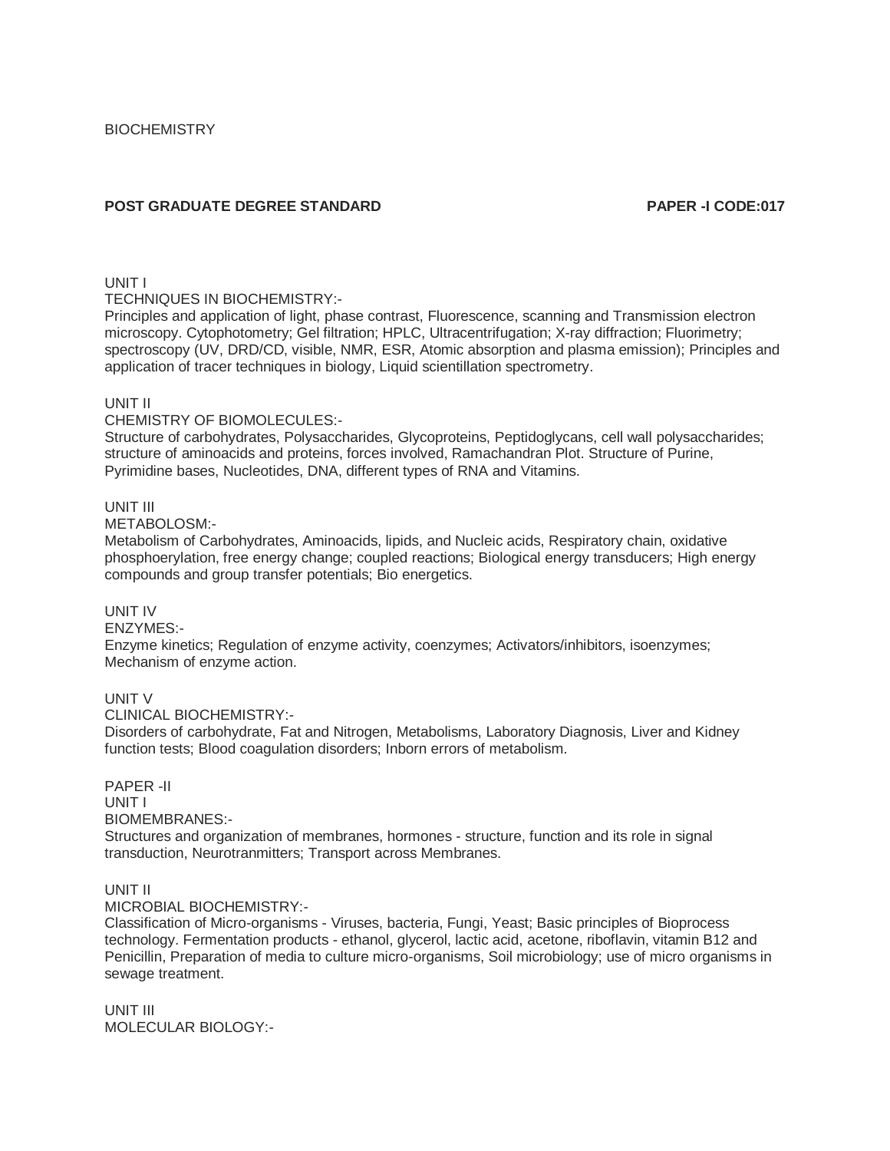# **POST GRADUATE DEGREE STANDARD PAPER -I CODE:017**

## UNIT I

TECHNIQUES IN BIOCHEMISTRY:-

Principles and application of light, phase contrast, Fluorescence, scanning and Transmission electron microscopy. Cytophotometry; Gel filtration; HPLC, Ultracentrifugation; X-ray diffraction; Fluorimetry; spectroscopy (UV, DRD/CD, visible, NMR, ESR, Atomic absorption and plasma emission); Principles and application of tracer techniques in biology, Liquid scientillation spectrometry.

## UNIT II

## CHEMISTRY OF BIOMOLECULES:-

Structure of carbohydrates, Polysaccharides, Glycoproteins, Peptidoglycans, cell wall polysaccharides; structure of aminoacids and proteins, forces involved, Ramachandran Plot. Structure of Purine, Pyrimidine bases, Nucleotides, DNA, different types of RNA and Vitamins.

## UNIT III

METABOLOSM:-

Metabolism of Carbohydrates, Aminoacids, lipids, and Nucleic acids, Respiratory chain, oxidative phosphoerylation, free energy change; coupled reactions; Biological energy transducers; High energy compounds and group transfer potentials; Bio energetics.

## UNIT IV

ENZYMES:-

Enzyme kinetics; Regulation of enzyme activity, coenzymes; Activators/inhibitors, isoenzymes; Mechanism of enzyme action.

## UNIT V

CLINICAL BIOCHEMISTRY:-

Disorders of carbohydrate, Fat and Nitrogen, Metabolisms, Laboratory Diagnosis, Liver and Kidney function tests; Blood coagulation disorders; Inborn errors of metabolism.

PAPER -II UNIT I BIOMEMBRANES:- Structures and organization of membranes, hormones - structure, function and its role in signal transduction, Neurotranmitters; Transport across Membranes.

## UNIT II

MICROBIAL BIOCHEMISTRY:-

Classification of Micro-organisms - Viruses, bacteria, Fungi, Yeast; Basic principles of Bioprocess technology. Fermentation products - ethanol, glycerol, lactic acid, acetone, riboflavin, vitamin B12 and Penicillin, Preparation of media to culture micro-organisms, Soil microbiology; use of micro organisms in sewage treatment.

UNIT III MOLECULAR BIOLOGY:-